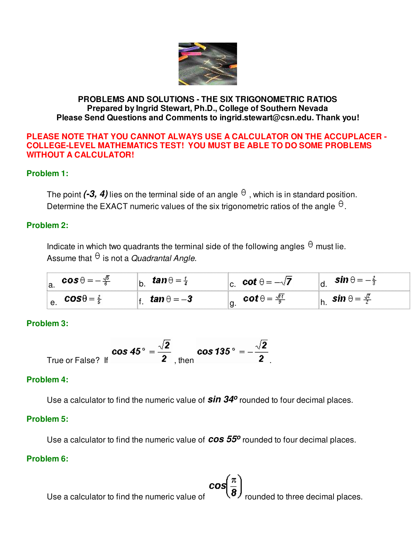

#### **PROBLEMS AND SOLUTIONS - THE SIX TRIGONOMETRIC RATIOS Prepared by Ingrid Stewart, Ph.D., College of Southern Nevada Please Send Questions and Comments to ingrid.stewart@csn.edu. Thank you!**

#### **PLEASE NOTE THAT YOU CANNOT ALWAYS USE A CALCULATOR ON THE ACCUPLACER - COLLEGE-LEVEL MATHEMATICS TEST! YOU MUST BE ABLE TO DO SOME PROBLEMS WITHOUT A CALCULATOR!**

# **Problem 1:**

The point  $(-3, 4)$  lies on the terminal side of an angle  $\theta$ , which is in standard position. Determine the EXACT numeric values of the six trigonometric ratios of the angle  $\theta$ .

## **Problem 2:**

Indicate in which two quadrants the terminal side of the following angles  $\theta$  must lie. Assume that  $\theta$  is not a Quadrantal Angle.

| ∽<br>a. | and the | ້.                                  | v. |     | .      | - 77 |
|---------|---------|-------------------------------------|----|-----|--------|------|
| е.      |         | -7<br>$\overline{\phantom{a}}$<br>. | ີ  | -81 | n<br>. |      |

# **Problem 3:**

$$
\text{True or False? If} \quad \text{cos } 45^\circ = \frac{\sqrt{2}}{2}, \text{ then} \quad \text{cos } 135^\circ = -\frac{\sqrt{2}}{2}.
$$

## **Problem 4:**

Use a calculator to find the numeric value of **sin 34<sup>o</sup>** rounded to four decimal places.

## **Problem 5:**

Use a calculator to find the numeric value of **cos 55o** rounded to four decimal places.

## **Problem 6:**

Use a calculator to find the numeric value of  $\mathcal{U}$  rounded to three decimal places.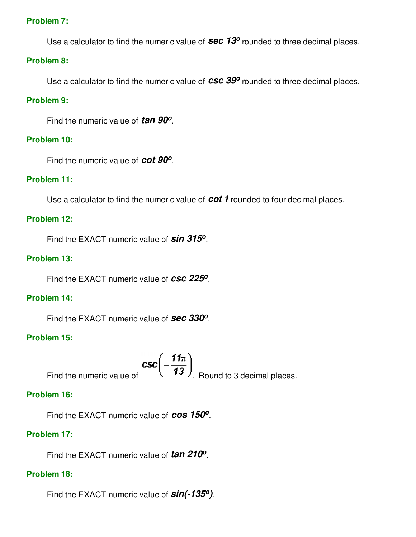## **Problem 7:**

Use a calculator to find the numeric value of **Sec 13<sup>o</sup>** rounded to three decimal places.

#### **Problem 8:**

Use a calculator to find the numeric value of **csc 39<sup>o</sup>** rounded to three decimal places.

### **Problem 9:**

Find the numeric value of **tan 90<sup>o</sup>** .

#### **Problem 10:**

Find the numeric value of **cot 90<sup>o</sup>** .

#### **Problem 11:**

Use a calculator to find the numeric value of **cot 1** rounded to four decimal places.

#### **Problem 12:**

Find the EXACT numeric value of **sin 315<sup>o</sup>** .

#### **Problem 13:**

Find the EXACT numeric value of **csc 225<sup>o</sup>** .

#### **Problem 14:**

Find the EXACT numeric value of **sec 330<sup>o</sup>** .

## **Problem 15:**

Find the numeric value of  $\csc\left(-\frac{11\pi}{13}\right)$ . Round to 3 decimal places.

#### **Problem 16:**

Find the EXACT numeric value of **cos 150<sup>o</sup>** .

## **Problem 17:**

Find the EXACT numeric value of **tan 210<sup>o</sup>** .

## **Problem 18:**

Find the EXACT numeric value of **sin(-135o)**.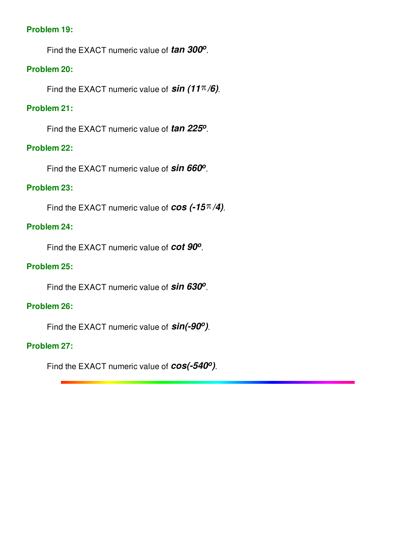## **Problem 19:**

Find the EXACT numeric value of **tan 300<sup>o</sup>** .

## **Problem 20:**

Find the EXACT numeric value of  $sin(11\pi/6)$ .

# **Problem 21:**

Find the EXACT numeric value of **tan 225<sup>o</sup>** .

## **Problem 22:**

Find the EXACT numeric value of **sin 660<sup>o</sup>** .

# **Problem 23:**

Find the EXACT numeric value of  $cos (-15<sup>\pi</sup>/4)$ .

## **Problem 24:**

Find the EXACT numeric value of **cot 90<sup>o</sup>** .

# **Problem 25:**

Find the EXACT numeric value of **sin 630<sup>o</sup>** .

## **Problem 26:**

Find the EXACT numeric value of **sin(-90o)**.

# **Problem 27:**

Find the EXACT numeric value of **cos(-540o)**.